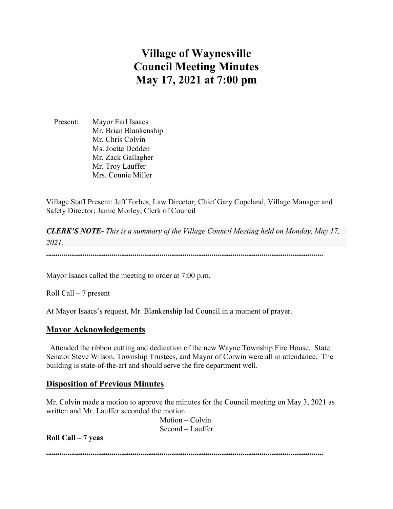# **Village of Waynesville Council Meeting Minutes May 17, 2021 at 7:00 pm**

 Present: Mayor Earl Isaacs Mr. Brian Blankenship Mr. Chris Colvin Ms. Joette Dedden Mr. Zack Gallagher Mr. Troy Lauffer Mrs. Connie Miller

Village Staff Present: Jeff Forbes, Law Director; Chief Gary Copeland, Village Manager and Safety Director; Jamie Morley, Clerk of Council

*CLERK'S NOTE- This is a summary of the Village Council Meeting held on Monday, May 17, 2021.* 

""""""""""""""""""""""""""""""""""""""""""""""""""""""""""""""""""""""""

Mayor Isaacs called the meeting to order at 7:00 p.m.

Roll Call – 7 present

At Mayor Isaacs's request, Mr. Blankenship led Council in a moment of prayer.

#### **Mayor Acknowledgements**

 Attended the ribbon cutting and dedication of the new Wayne Township Fire House. State Senator Steve Wilson, Township Trustees, and Mayor of Corwin were all in attendance. The building is state-of-the-art and should serve the fire department well.

#### **Disposition of Previous Minutes**

Mr. Colvin made a motion to approve the minutes for the Council meeting on May 3, 2021 as written and Mr. Lauffer seconded the motion.

> Motion – Colvin Second – Lauffer

**Roll Call – 7 yeas**

 $\label{prop:main} \hspace{1.5cm} \hspace{1.5cm} \textcolor{blue}{\bullet} \hspace{1.5cm} \textcolor{blue}{\bullet} \hspace{1.5cm} \textcolor{blue}{\bullet} \hspace{1.5cm} \textcolor{blue}{\bullet} \hspace{1.5cm} \textcolor{blue}{\bullet} \hspace{1.5cm} \textcolor{blue}{\bullet} \hspace{1.5cm} \textcolor{blue}{\bullet} \hspace{1.5cm} \textcolor{blue}{\bullet} \hspace{1.5cm} \textcolor{blue}{\bullet} \hspace{1.5cm} \textcolor{blue}{\bullet} \hspace{1.5cm} \textcolor{blue}{\bullet} \hspace{1.$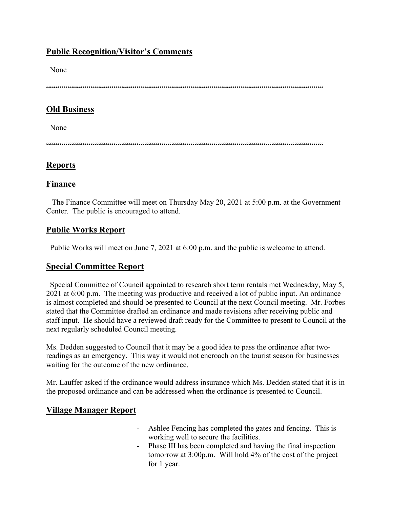# **Public Recognition/Visitor's Comments**

None

 $\label{prop:main} \hspace{1.5cm} \hspace{1.5cm} \textcolor{blue}{\bullet} \hspace{1.5cm} \textcolor{blue}{\bullet} \hspace{1.5cm} \textcolor{blue}{\bullet} \hspace{1.5cm} \textcolor{blue}{\bullet} \hspace{1.5cm} \textcolor{blue}{\bullet} \hspace{1.5cm} \textcolor{blue}{\bullet} \hspace{1.5cm} \textcolor{blue}{\bullet} \hspace{1.5cm} \textcolor{blue}{\bullet} \hspace{1.5cm} \textcolor{blue}{\bullet} \hspace{1.5cm} \textcolor{blue}{\bullet} \hspace{1.5cm} \textcolor{blue}{\bullet} \hspace{1.$ 

# **Old Business**

None

 $\label{prop:main} \hspace{1.5in} \hspace{1.5in} {\color{blue} {\begin{subarray}{l} \hbox{\textbf{if} $\mathfrak{h}$} \\\hbox{\textbf{if} $\mathfrak{h}$} \end{subarray}} } \hspace{1.5in} {\color{blue} {\begin{subarray}{l} \hbox{\textbf{if} $\mathfrak{h}$} \\\hbox{\textbf{if} $\mathfrak{h}$} \end{subarray}} } \hspace{1.5in} {\color{blue} {\begin{subarray}{l} \hbox{\textbf{if} $\mathfrak{h}$} \\\hbox{\textbf{if} $\mathfrak{h}$} \end{subarray}} } \hspace{1.5in} {\color{$ 

# **Reports**

## **Finance**

 The Finance Committee will meet on Thursday May 20, 2021 at 5:00 p.m. at the Government Center. The public is encouraged to attend.

# **Public Works Report**

Public Works will meet on June 7, 2021 at 6:00 p.m. and the public is welcome to attend.

## **Special Committee Report**

 Special Committee of Council appointed to research short term rentals met Wednesday, May 5, 2021 at 6:00 p.m. The meeting was productive and received a lot of public input. An ordinance is almost completed and should be presented to Council at the next Council meeting. Mr. Forbes stated that the Committee drafted an ordinance and made revisions after receiving public and staff input. He should have a reviewed draft ready for the Committee to present to Council at the next regularly scheduled Council meeting.

Ms. Dedden suggested to Council that it may be a good idea to pass the ordinance after tworeadings as an emergency. This way it would not encroach on the tourist season for businesses waiting for the outcome of the new ordinance.

Mr. Lauffer asked if the ordinance would address insurance which Ms. Dedden stated that it is in the proposed ordinance and can be addressed when the ordinance is presented to Council.

# **Village Manager Report**

- Ashlee Fencing has completed the gates and fencing. This is working well to secure the facilities.
- Phase III has been completed and having the final inspection tomorrow at 3:00p.m. Will hold 4% of the cost of the project for 1 year.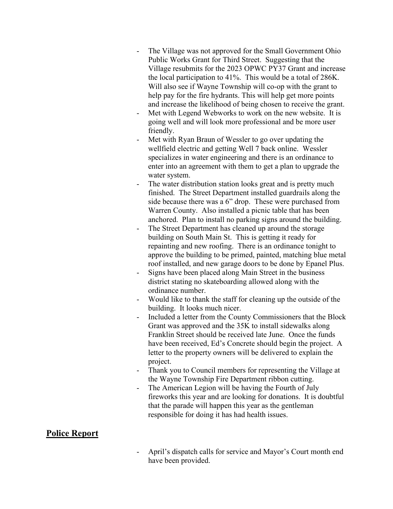- The Village was not approved for the Small Government Ohio Public Works Grant for Third Street. Suggesting that the Village resubmits for the 2023 OPWC PY37 Grant and increase the local participation to 41%. This would be a total of 286K. Will also see if Wayne Township will co-op with the grant to help pay for the fire hydrants. This will help get more points and increase the likelihood of being chosen to receive the grant.
- Met with Legend Webworks to work on the new website. It is going well and will look more professional and be more user friendly.
- Met with Ryan Braun of Wessler to go over updating the wellfield electric and getting Well 7 back online. Wessler specializes in water engineering and there is an ordinance to enter into an agreement with them to get a plan to upgrade the water system.
- The water distribution station looks great and is pretty much finished. The Street Department installed guardrails along the side because there was a 6" drop. These were purchased from Warren County. Also installed a picnic table that has been anchored. Plan to install no parking signs around the building.
- The Street Department has cleaned up around the storage building on South Main St. This is getting it ready for repainting and new roofing. There is an ordinance tonight to approve the building to be primed, painted, matching blue metal roof installed, and new garage doors to be done by Epanel Plus.
- Signs have been placed along Main Street in the business district stating no skateboarding allowed along with the ordinance number.
- Would like to thank the staff for cleaning up the outside of the building. It looks much nicer.
- Included a letter from the County Commissioners that the Block Grant was approved and the 35K to install sidewalks along Franklin Street should be received late June. Once the funds have been received, Ed's Concrete should begin the project. A letter to the property owners will be delivered to explain the project.
- Thank you to Council members for representing the Village at the Wayne Township Fire Department ribbon cutting.
- The American Legion will be having the Fourth of July fireworks this year and are looking for donations. It is doubtful that the parade will happen this year as the gentleman responsible for doing it has had health issues.

## **Police Report**

April's dispatch calls for service and Mayor's Court month end have been provided.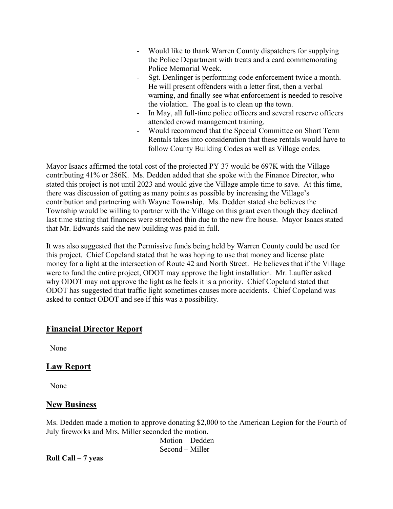- Would like to thank Warren County dispatchers for supplying the Police Department with treats and a card commemorating Police Memorial Week.
- Sgt. Denlinger is performing code enforcement twice a month. He will present offenders with a letter first, then a verbal warning, and finally see what enforcement is needed to resolve the violation. The goal is to clean up the town.
- In May, all full-time police officers and several reserve officers attended crowd management training.
- Would recommend that the Special Committee on Short Term Rentals takes into consideration that these rentals would have to follow County Building Codes as well as Village codes.

Mayor Isaacs affirmed the total cost of the projected PY 37 would be 697K with the Village contributing 41% or 286K. Ms. Dedden added that she spoke with the Finance Director, who stated this project is not until 2023 and would give the Village ample time to save. At this time, there was discussion of getting as many points as possible by increasing the Village's contribution and partnering with Wayne Township. Ms. Dedden stated she believes the Township would be willing to partner with the Village on this grant even though they declined last time stating that finances were stretched thin due to the new fire house. Mayor Isaacs stated that Mr. Edwards said the new building was paid in full.

It was also suggested that the Permissive funds being held by Warren County could be used for this project. Chief Copeland stated that he was hoping to use that money and license plate money for a light at the intersection of Route 42 and North Street. He believes that if the Village were to fund the entire project, ODOT may approve the light installation. Mr. Lauffer asked why ODOT may not approve the light as he feels it is a priority. Chief Copeland stated that ODOT has suggested that traffic light sometimes causes more accidents. Chief Copeland was asked to contact ODOT and see if this was a possibility.

# **Financial Director Report**

None

## **Law Report**

None

## **New Business**

Ms. Dedden made a motion to approve donating \$2,000 to the American Legion for the Fourth of July fireworks and Mrs. Miller seconded the motion.

 Motion – Dedden Second – Miller

**Roll Call – 7 yeas**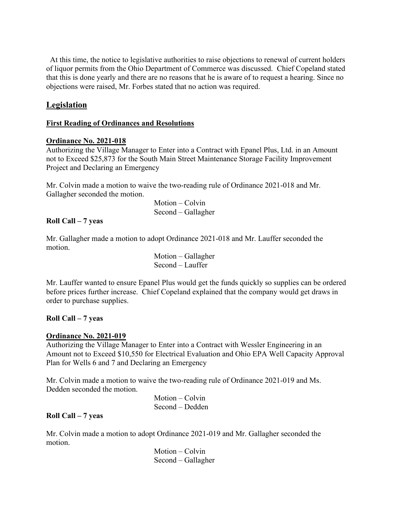At this time, the notice to legislative authorities to raise objections to renewal of current holders of liquor permits from the Ohio Department of Commerce was discussed. Chief Copeland stated that this is done yearly and there are no reasons that he is aware of to request a hearing. Since no objections were raised, Mr. Forbes stated that no action was required.

## **Legislation**

## **First Reading of Ordinances and Resolutions**

## **Ordinance No. 2021-018**

Authorizing the Village Manager to Enter into a Contract with Epanel Plus, Ltd. in an Amount not to Exceed \$25,873 for the South Main Street Maintenance Storage Facility Improvement Project and Declaring an Emergency

Mr. Colvin made a motion to waive the two-reading rule of Ordinance 2021-018 and Mr. Gallagher seconded the motion.

> Motion – Colvin Second – Gallagher

## **Roll Call – 7 yeas**

Mr. Gallagher made a motion to adopt Ordinance 2021-018 and Mr. Lauffer seconded the motion.

> Motion – Gallagher Second – Lauffer

Mr. Lauffer wanted to ensure Epanel Plus would get the funds quickly so supplies can be ordered before prices further increase. Chief Copeland explained that the company would get draws in order to purchase supplies.

## **Roll Call – 7 yeas**

## **Ordinance No. 2021-019**

Authorizing the Village Manager to Enter into a Contract with Wessler Engineering in an Amount not to Exceed \$10,550 for Electrical Evaluation and Ohio EPA Well Capacity Approval Plan for Wells 6 and 7 and Declaring an Emergency

Mr. Colvin made a motion to waive the two-reading rule of Ordinance 2021-019 and Ms. Dedden seconded the motion.

> Motion – Colvin Second – Dedden

## **Roll Call – 7 yeas**

Mr. Colvin made a motion to adopt Ordinance 2021-019 and Mr. Gallagher seconded the motion.

> Motion – Colvin Second – Gallagher